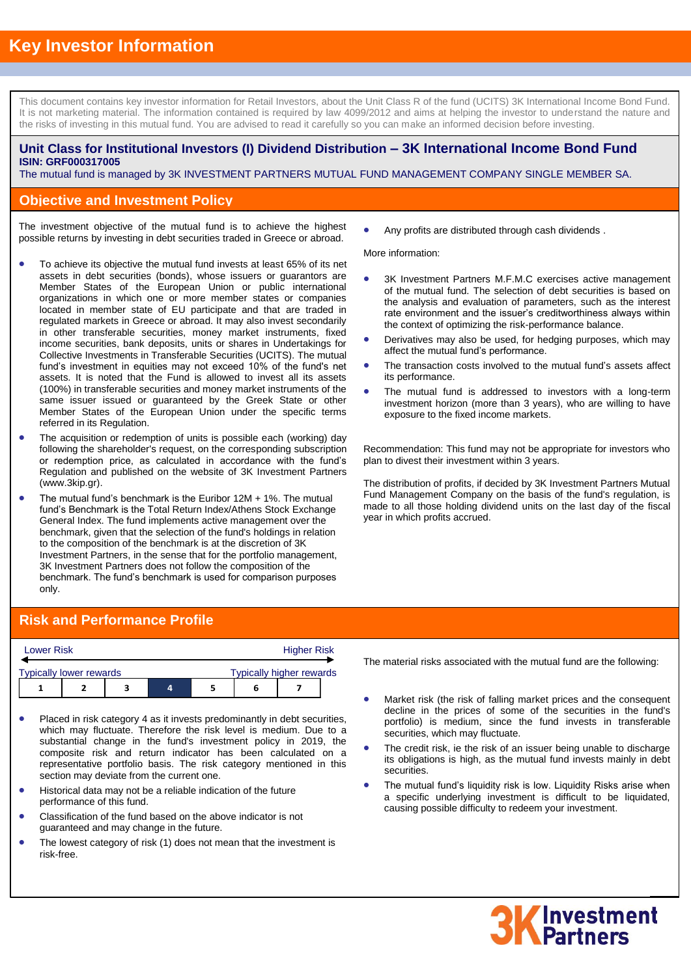This document contains key investor information for Retail Investors, about the Unit Class R of the fund (UCITS) 3K International Income Bond Fund. It is not marketing material. The information contained is required by law 4099/2012 and aims at helping the investor to understand the nature and the risks of investing in this mutual fund. You are advised to read it carefully so you can make an informed decision before investing.

### **Unit Class for Institutional Investors (I) Dividend Distribution – 3K International Income Bond Fund ISIN: GRF000317005**

The mutual fund is managed by 3K INVESTMENT PARTNERS MUTUAL FUND MANAGEMENT COMPANY SINGLE MEMBER SA.

### **Objective and Investment Policy**

.

The investment objective of the mutual fund is to achieve the highest possible returns by investing in debt securities traded in Greece or abroad.

- To achieve its objective the mutual fund invests at least 65% of its net assets in debt securities (bonds), whose issuers or guarantors are Member States of the European Union or public international organizations in which one or more member states or companies located in member state of EU participate and that are traded in regulated markets in Greece or abroad. It may also invest secondarily in other transferable securities, money market instruments, fixed income securities, bank deposits, units or shares in Undertakings for Collective Investments in Transferable Securities (UCITS). The mutual fund's investment in equities may not exceed 10% of the fund's net assets. It is noted that the Fund is allowed to invest all its assets (100%) in transferable securities and money market instruments of the same issuer issued or guaranteed by the Greek State or other Member States of the European Union under the specific terms referred in its Regulation.
- The acquisition or redemption of units is possible each (working) day following the shareholder's request, on the corresponding subscription or redemption price, as calculated in accordance with the fund's Regulation and published on the website of 3K Investment Partners (www.3kip.gr).
- The mutual fund's benchmark is the Euribor 12M + 1%. The mutual fund's Benchmark is the Total Return Index/Athens Stock Exchange General Index. The fund implements active management over the benchmark, given that the selection of the fund's holdings in relation to the composition of the benchmark is at the discretion of 3K Investment Partners, in the sense that for the portfolio management, 3K Investment Partners does not follow the composition of the benchmark. The fund's benchmark is used for comparison purposes only.

Any profits are distributed through cash dividends .

More information:

- 3K Investment Partners M.F.M.C exercises active management of the mutual fund. The selection of debt securities is based on the analysis and evaluation of parameters, such as the interest rate environment and the issuer's creditworthiness always within the context of optimizing the risk-performance balance.
- Derivatives may also be used, for hedging purposes, which may affect the mutual fund's performance.
- The transaction costs involved to the mutual fund's assets affect its performance.
- The mutual fund is addressed to investors with a long-term investment horizon (more than 3 years), who are willing to have exposure to the fixed income markets.

Recommendation: This fund may not be appropriate for investors who plan to divest their investment within 3 years.

The distribution of profits, if decided by 3K Investment Partners Mutual Fund Management Company on the basis of the fund's regulation, is made to all those holding dividend units on the last day of the fiscal year in which profits accrued.

# **Risk and Performance Profile**

| Lower Risk                     |  |  |  | <b>Higher Risk</b> |  |                                 |  |
|--------------------------------|--|--|--|--------------------|--|---------------------------------|--|
| <b>Typically lower rewards</b> |  |  |  |                    |  | <b>Typically higher rewards</b> |  |
|                                |  |  |  |                    |  |                                 |  |

- Placed in risk category 4 as it invests predominantly in debt securities, which may fluctuate. Therefore the risk level is medium. Due to a substantial change in the fund's investment policy in 2019, the composite risk and return indicator has been calculated on a representative portfolio basis. The risk category mentioned in this section may deviate from the current one.
- Historical data may not be a reliable indication of the future performance of this fund.
- Classification of the fund based on the above indicator is not guaranteed and may change in the future.
- The lowest category of risk (1) does not mean that the investment is risk-free.

The material risks associated with the mutual fund are the following:

- Market risk (the risk of falling market prices and the consequent decline in the prices of some of the securities in the fund's portfolio) is medium, since the fund invests in transferable securities, which may fluctuate.
- The credit risk, ie the risk of an issuer being unable to discharge its obligations is high, as the mutual fund invests mainly in debt securities.
- The mutual fund's liquidity risk is low. Liquidity Risks arise when a specific underlying investment is difficult to be liquidated, causing possible difficulty to redeem your investment.